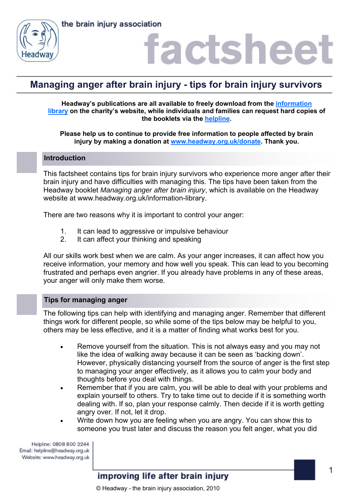



### factshee<sup>®</sup>

### **Managing anger after brain injury - tips for brain injury survivors**

**Headway's publications are all available to freely download from the information library on the charity's website, while individuals and families can request hard copies of the booklets via the helpline.** 

**Please help us to continue to provide free information to people affected by brain injury by making a donation at www.headway.org.uk/donate. Thank you.** 

### **Introduction**

This factsheet contains tips for brain injury survivors who experience more anger after their brain injury and have difficulties with managing this. The tips have been taken from the Headway booklet *Managing anger after brain injury*, which is available on the Headway website at www.headway.org.uk/information-library.

There are two reasons why it is important to control your anger:

- 1. It can lead to aggressive or impulsive behaviour
- 2. It can affect your thinking and speaking

All our skills work best when we are calm. As your anger increases, it can affect how you receive information, your memory and how well you speak. This can lead to you becoming frustrated and perhaps even angrier. If you already have problems in any of these areas, your anger will only make them worse.

### **Tips for managing anger**

The following tips can help with identifying and managing anger. Remember that different things work for different people, so while some of the tips below may be helpful to you, others may be less effective, and it is a matter of finding what works best for you.

- Remove yourself from the situation. This is not always easy and you may not like the idea of walking away because it can be seen as 'backing down'. However, physically distancing yourself from the source of anger is the first step to managing your anger effectively, as it allows you to calm your body and thoughts before you deal with things.
- Remember that if you are calm, you will be able to deal with your problems and explain yourself to others. Try to take time out to decide if it is something worth dealing with. If so, plan your response calmly. Then decide if it is worth getting angry over. If not, let it drop.
- Write down how you are feeling when you are angry. You can show this to someone you trust later and discuss the reason you felt anger, what you did

Helpline: 0808 800 2244 Email: helpline@headway.org.uk Website: www.headway.org.uk

improving life after brain injury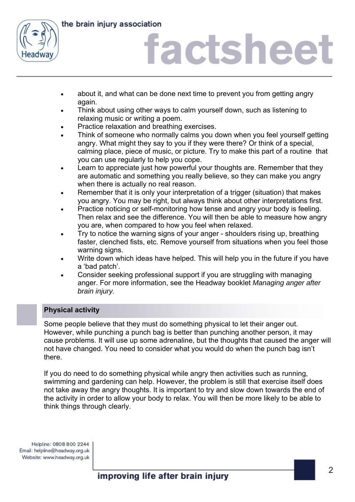

the brain injury association

## iactshee

- about it, and what can be done next time to prevent you from getting angry again.
- Think about using other ways to calm yourself down, such as listening to relaxing music or writing a poem.
- Practice relaxation and breathing exercises.
- Think of someone who normally calms you down when you feel yourself getting angry. What might they say to you if they were there? Or think of a special, calming place, piece of music, or picture. Try to make this part of a routine that you can use regularly to help you cope.
- Learn to appreciate just how powerful your thoughts are. Remember that they are automatic and something you really believe, so they can make you angry when there is actually no real reason.
- Remember that it is only your interpretation of a trigger (situation) that makes you angry. You may be right, but always think about other interpretations first.
- Practice noticing or self-monitoring how tense and angry your body is feeling. Then relax and see the difference. You will then be able to measure how angry you are, when compared to how you feel when relaxed.
- Try to notice the warning signs of your anger shoulders rising up, breathing faster, clenched fists, etc. Remove yourself from situations when you feel those warning signs.
- Write down which ideas have helped. This will help you in the future if you have a 'bad patch'.
- Consider seeking professional support if you are struggling with managing anger. For more information, see the Headway booklet *Managing anger after brain injury.*

### **Physical activity**

Some people believe that they must do something physical to let their anger out. However, while punching a punch bag is better than punching another person, it may cause problems. It will use up some adrenaline, but the thoughts that caused the anger will not have changed. You need to consider what you would do when the punch bag isn't there.

If you do need to do something physical while angry then activities such as running, swimming and gardening can help. However, the problem is still that exercise itself does not take away the angry thoughts. It is important to try and slow down towards the end of the activity in order to allow your body to relax. You will then be more likely to be able to think things through clearly.